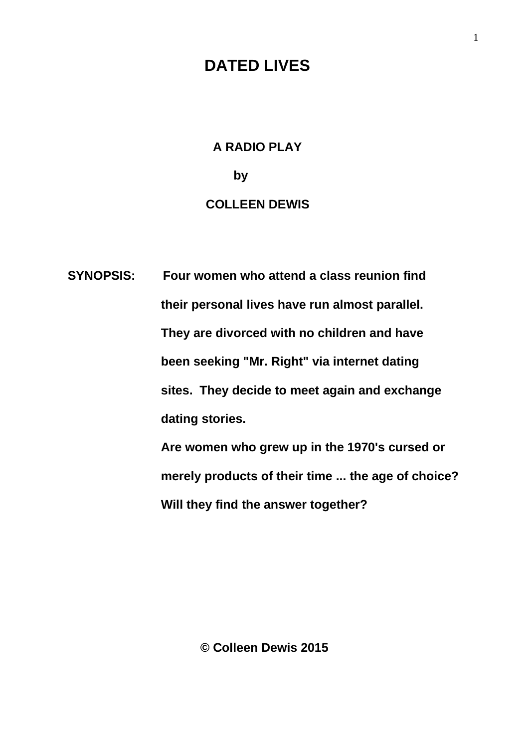## **DATED LIVES**

## **A RADIO PLAY by** by a bound of  $\mathbf{b}$  **COLLEEN DEWIS**

 **SYNOPSIS: Four women who attend a class reunion find their personal lives have run almost parallel. They are divorced with no children and have been seeking "Mr. Right" via internet dating sites. They decide to meet again and exchange dating stories. Are women who grew up in the 1970's cursed or**

 **merely products of their time ... the age of choice?** 

 **Will they find the answer together?**

**© Colleen Dewis 2015**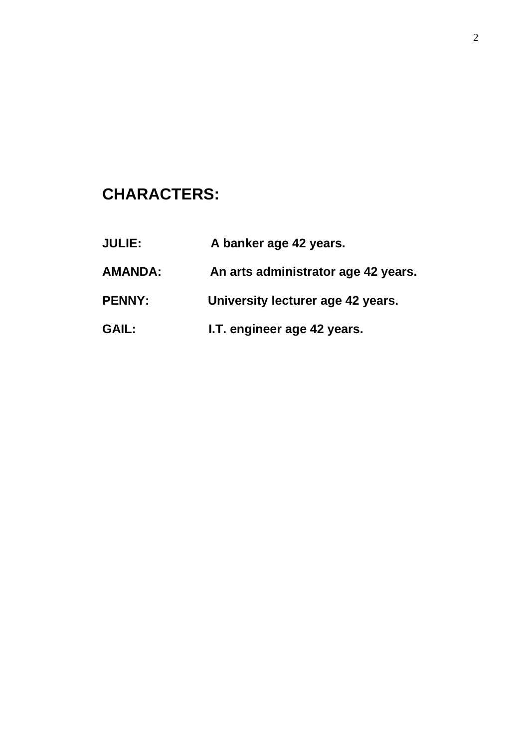## **CHARACTERS:**

| <b>JULIE:</b>  | A banker age 42 years.              |
|----------------|-------------------------------------|
| <b>AMANDA:</b> | An arts administrator age 42 years. |
| <b>PENNY:</b>  | University lecturer age 42 years.   |
| <b>GAIL:</b>   | I.T. engineer age 42 years.         |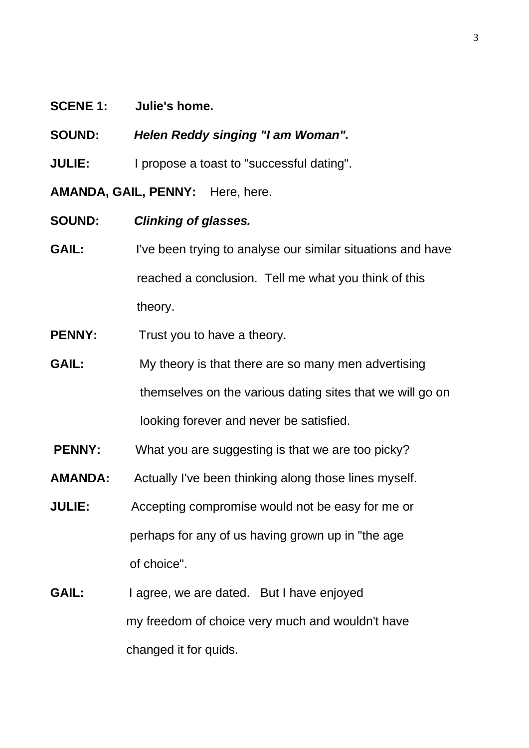## **SCENE 1: Julie's home.**

**SOUND:** *Helen Reddy singing "I am Woman".*

**JULIE:** I propose a toast to "successful dating".

**AMANDA, GAIL, PENNY:** Here, here.

**SOUND:** *Clinking of glasses.*

- **GAIL:** I've been trying to analyse our similar situations and have reached a conclusion. Tell me what you think of this theory.
- **PENNY:** Trust you to have a theory.
- **GAIL:** My theory is that there are so many men advertising themselves on the various dating sites that we will go on looking forever and never be satisfied.
- **PENNY:** What you are suggesting is that we are too picky?
- **AMANDA:** Actually I've been thinking along those lines myself.
- **JULIE:** Accepting compromise would not be easy for me or perhaps for any of us having grown up in "the age of choice".
- GAIL: I agree, we are dated. But I have enjoyed my freedom of choice very much and wouldn't have changed it for quids.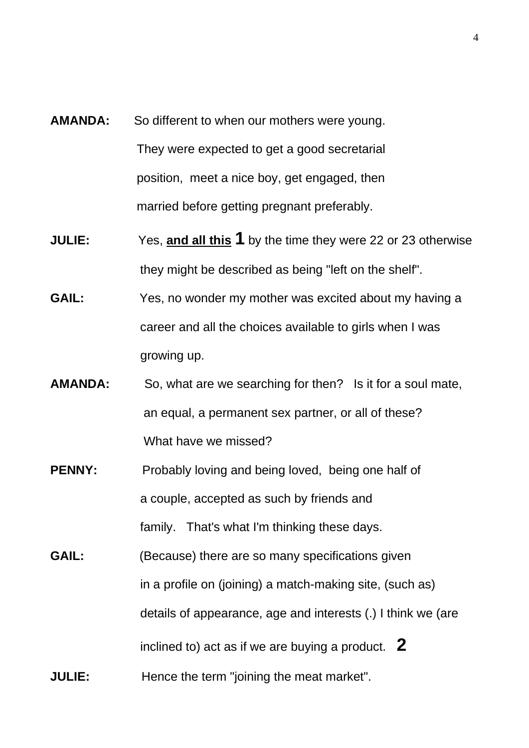- **AMANDA:** So different to when our mothers were young. They were expected to get a good secretarial position, meet a nice boy, get engaged, then married before getting pregnant preferably.
- **JULIE:** Yes, **and all this 1** by the time they were 22 or 23 otherwise they might be described as being "left on the shelf".
- **GAIL:** Yes, no wonder my mother was excited about my having a career and all the choices available to girls when I was growing up.
- **AMANDA:** So, what are we searching for then? Is it for a soul mate, an equal, a permanent sex partner, or all of these? What have we missed?
- **PENNY:** Probably loving and being loved, being one half of a couple, accepted as such by friends and family. That's what I'm thinking these days.
- **GAIL:** (Because) there are so many specifications given in a profile on (joining) a match-making site, (such as) details of appearance, age and interests (.) I think we (are inclined to) act as if we are buying a product. **2 JULIE:** Hence the term "joining the meat market".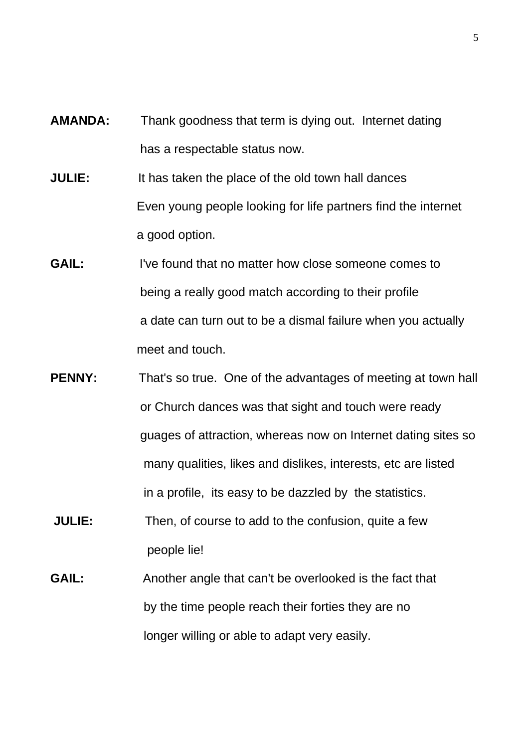- **AMANDA:** Thank goodness that term is dying out. Internet dating has a respectable status now.
- **JULIE:** It has taken the place of the old town hall dances Even young people looking for life partners find the internet a good option.
- **GAIL:** I've found that no matter how close someone comes to being a really good match according to their profile a date can turn out to be a dismal failure when you actually meet and touch.
- **PENNY:** That's so true. One of the advantages of meeting at town hall or Church dances was that sight and touch were ready guages of attraction, whereas now on Internet dating sites so many qualities, likes and dislikes, interests, etc are listed in a profile, its easy to be dazzled by the statistics.
- **JULIE:** Then, of course to add to the confusion, quite a few people lie!
- **GAIL:** Another angle that can't be overlooked is the fact that by the time people reach their forties they are no longer willing or able to adapt very easily.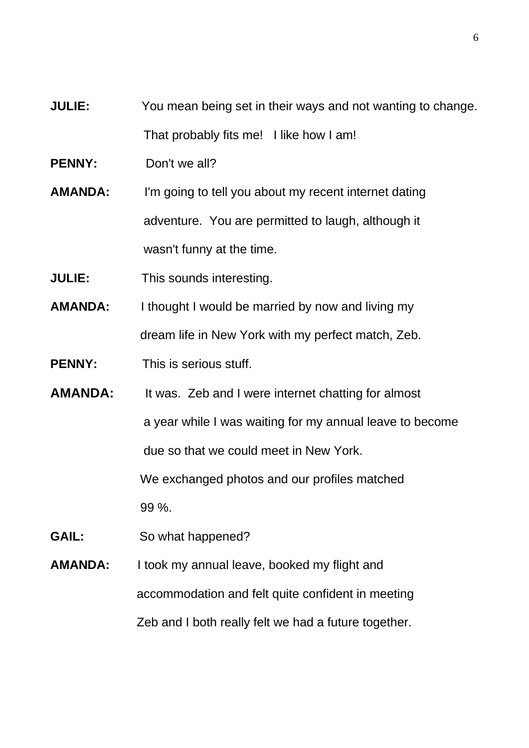- **JULIE:** You mean being set in their ways and not wanting to change. That probably fits me! I like how I am!
- **PENNY:** Don't we all?
- **AMANDA:** I'm going to tell you about my recent internet dating adventure. You are permitted to laugh, although it wasn't funny at the time.
- **JULIE:** This sounds interesting.
- **AMANDA:** I thought I would be married by now and living my dream life in New York with my perfect match, Zeb.
- **PENNY:** This is serious stuff.
- **AMANDA:** It was. Zeb and I were internet chatting for almost a year while I was waiting for my annual leave to become due so that we could meet in New York. We exchanged photos and our profiles matched 99 %.
- GAIL: So what happened?
- **AMANDA:** I took my annual leave, booked my flight and accommodation and felt quite confident in meeting Zeb and I both really felt we had a future together.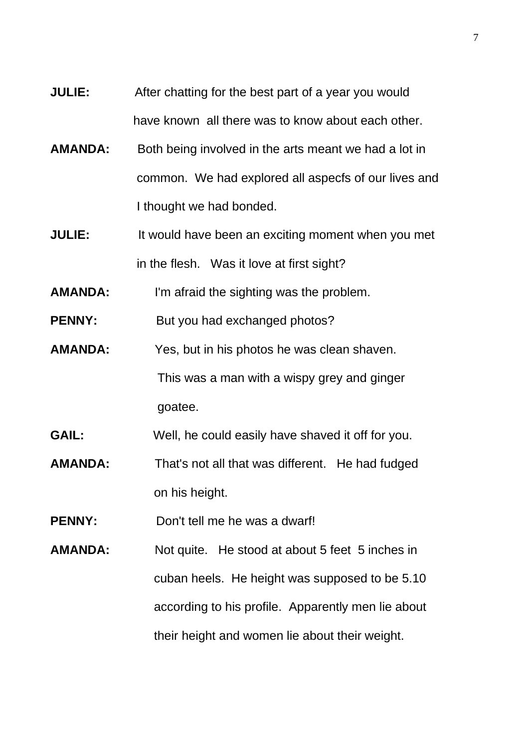- **JULIE:** After chatting for the best part of a year you would have known all there was to know about each other.
- **AMANDA:** Both being involved in the arts meant we had a lot in common. We had explored all aspecfs of our lives and I thought we had bonded.
- **JULIE:** It would have been an exciting moment when you met in the flesh. Was it love at first sight?
- **AMANDA:** I'm afraid the sighting was the problem.

**PENNY:** But you had exchanged photos?

- **AMANDA:** Yes, but in his photos he was clean shaven. This was a man with a wispy grey and ginger goatee.
- **GAIL:** Well, he could easily have shaved it off for you.
- **AMANDA:** That's not all that was different. He had fudged on his height.
- **PENNY:** Don't tell me he was a dwarf!
- **AMANDA:** Not quite. He stood at about 5 feet 5 inches in cuban heels. He height was supposed to be 5.10 according to his profile. Apparently men lie about their height and women lie about their weight.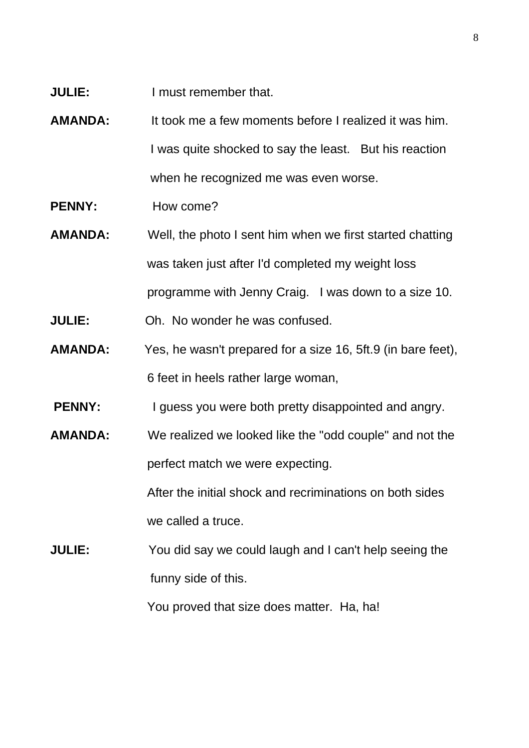- **JULIE:** I must remember that.
- **AMANDA:** It took me a few moments before I realized it was him. I was quite shocked to say the least. But his reaction when he recognized me was even worse.
- **PENNY:**How come?
- **AMANDA:** Well, the photo I sent him when we first started chatting was taken just after I'd completed my weight loss programme with Jenny Craig. I was down to a size 10.
- **JULIE:** Oh. No wonder he was confused.
- **AMANDA:** Yes, he wasn't prepared for a size 16, 5ft.9 (in bare feet), 6 feet in heels rather large woman,
- **PENNY:** I guess you were both pretty disappointed and angry.
- **AMANDA:** We realized we looked like the "odd couple" and not the perfect match we were expecting.

 After the initial shock and recriminations on both sides we called a truce.

**JULIE:** You did say we could laugh and I can't help seeing the funny side of this.

You proved that size does matter. Ha, ha!